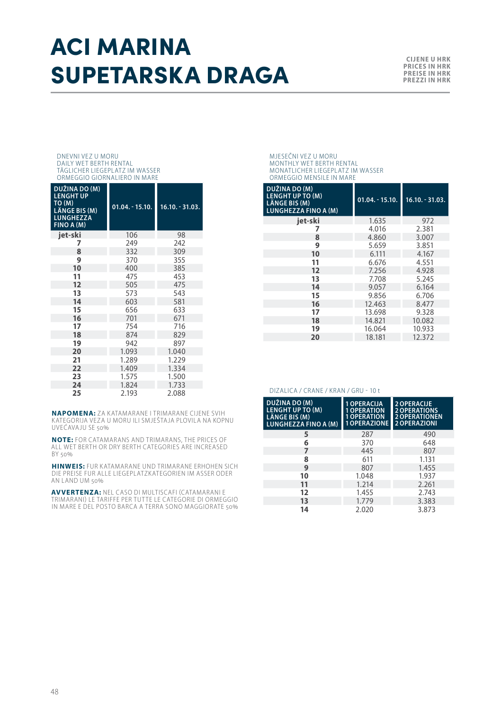## ACI MARINA **SUPETARSKA DRAGA EXAMPLE TARSKA**

#### DNEVNI VEZ U MORU DAILY WET BERTH RENTAL TÄGLICHER LIEGEPLATZ IM WASSER ORMEGGIO GIORNALIERO IN MARE

| DUŽINA DO (M)<br><b>LENGHT UP</b><br>TO (M)<br>LÄNGE BIS (M)<br><b>LUNGHEZZA</b><br>FINO A (M) | $01.04 - 15.10.$ | $16.10 - 31.03$ . |
|------------------------------------------------------------------------------------------------|------------------|-------------------|
| iet-ski                                                                                        | 106              | 98                |
| 7                                                                                              | 249              | 242               |
| 8                                                                                              | 332              | 309               |
| 9                                                                                              | 370              | 355               |
| 10                                                                                             | 400              | 385               |
| 11                                                                                             | 475              | 453               |
| 12                                                                                             | 505              | 475               |
| 13                                                                                             | 573              | 543               |
| 14                                                                                             | 603              | 581               |
| 15                                                                                             | 656              | 633               |
| 16                                                                                             | 701              | 671               |
| 17                                                                                             | 754              | 716               |
| 18                                                                                             | 874              | 829               |
| 19                                                                                             | 942              | 897               |
| 20                                                                                             | 1.093            | 1.040             |
| 21                                                                                             | 1.289            | 1.229             |
| 22                                                                                             | 1.409            | 1.334             |
| 23                                                                                             | 1.575            | 1.500             |
| 24                                                                                             | 1.824            | 1.733             |
| 25                                                                                             | 2.193            | 2.088             |

**NAPOMENA:** ZA KATAMARANE I TRIMARANE CIJENE SVIH KATEGORIJA VEZA U MORU ILI SMJEŠTAJA PLOVILA NA KOPNU UVEĆAVAJU SE 50%

**NOTE:** FOR CATAMARANS AND TRIMARANS, THE PRICES OF ALL WET BERTH OR DRY BERTH CATEGORIES ARE INCREASED BY 50%

**HINWEIS:** FUR KATAMARANE UND TRIMARANE ERHOHEN SICH DIE PREISE FUR ALLE LIEGEPLATZKATEGORIEN IM ASSER ODER AN LAND UM 50%

**AVVERTENZA:** NEL CASO DI MULTISCAFI (CATAMARANI E<br>TRIMARANI) LE TARIFFE PER TUTTE LE CATEGORIE DI ORMEGGIO IN MARE E DEL POSTO BARCA A TERRA SONO MAGGIORATE 50%

MJESEČNI VEZ U MORU MONTHLY WET BERTH RENTAL MONATLICHER LIEGEPLATZ IM WASSER ORMEGGIO MENSILE IN MARE

| DUŽINA DO (M)<br>LENGHT UP TO (M)<br>LÄNGE BIS (M)<br><b>LUNGHEZZA FINO A (M)</b> | $01.04. - 15.10.$ | $16.10 - 31.03.$ |
|-----------------------------------------------------------------------------------|-------------------|------------------|
| jet-ski                                                                           | 1.635             | 972              |
|                                                                                   | 4.016             | 2.381            |
| 8                                                                                 | 4.860             | 3.007            |
| 9                                                                                 | 5.659             | 3.851            |
| 10                                                                                | 6.111             | 4.167            |
| 11                                                                                | 6.676             | 4.551            |
| 12                                                                                | 7.256             | 4.928            |
| 13                                                                                | 7.708             | 5.245            |
| 14                                                                                | 9.057             | 6.164            |
| 15                                                                                | 9.856             | 6.706            |
| 16                                                                                | 12.463            | 8.477            |
| 17                                                                                | 13.698            | 9.328            |
| 18                                                                                | 14.821            | 10.082           |
| 19                                                                                | 16.064            | 10.933           |
| 20                                                                                | 18.181            | 12.372           |

#### DIZALICA / CRANE / KRAN / GRU - 10 t

| DUŽINA DO (M)<br><b>LENGHT UP TO (M)</b><br>LÄNGE BIS (M)<br>LUNGHEZZA FINO A (M) | <b>1 OPERACIJA</b><br><b>1 OPERATION</b><br><b>1 OPERATION</b><br><b>1 OPERAZIONE</b> | 2 OPERACIJE<br><b>2 OPERATIONS</b><br><b>2 OPERATIONEN</b><br>2 OPERAZIONI |
|-----------------------------------------------------------------------------------|---------------------------------------------------------------------------------------|----------------------------------------------------------------------------|
| 5                                                                                 | 287                                                                                   | 490                                                                        |
| 6                                                                                 | 370                                                                                   | 648                                                                        |
| 7                                                                                 | 445                                                                                   | 807                                                                        |
| 8                                                                                 | 611                                                                                   | 1.131                                                                      |
| 9                                                                                 | 807                                                                                   | 1.455                                                                      |
| 10                                                                                | 1.048                                                                                 | 1.937                                                                      |
| 11                                                                                | 1.214                                                                                 | 2.261                                                                      |
| 12                                                                                | 1.455                                                                                 | 2.743                                                                      |
| 13                                                                                | 1.779                                                                                 | 3.383                                                                      |
| 14                                                                                | 2.020                                                                                 | 3.873                                                                      |